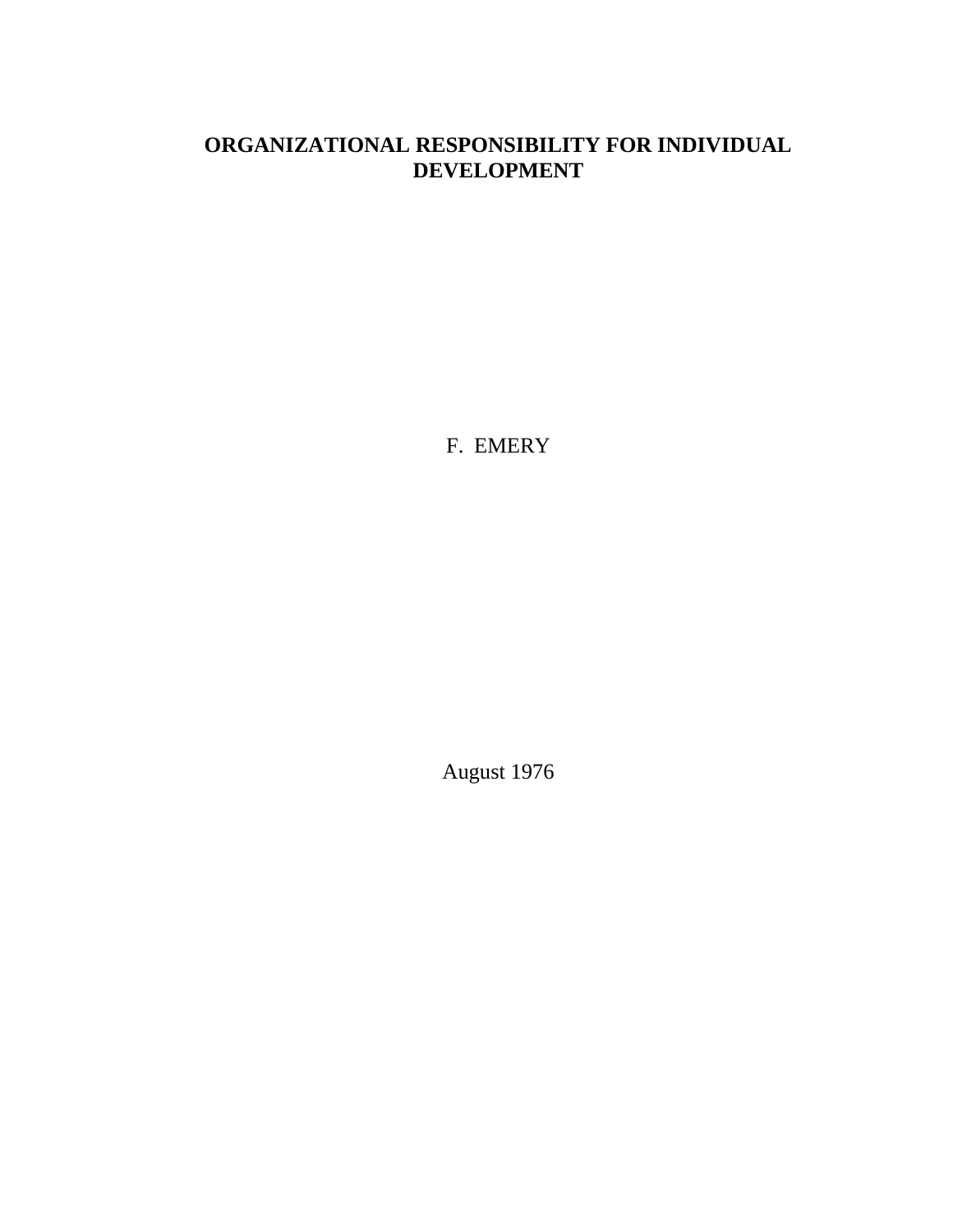## **ORGANIZATIONAL RESPONSIBILITY FOR INDIVIDUAL DEVELOPMENT**

F. EMERY

August 1976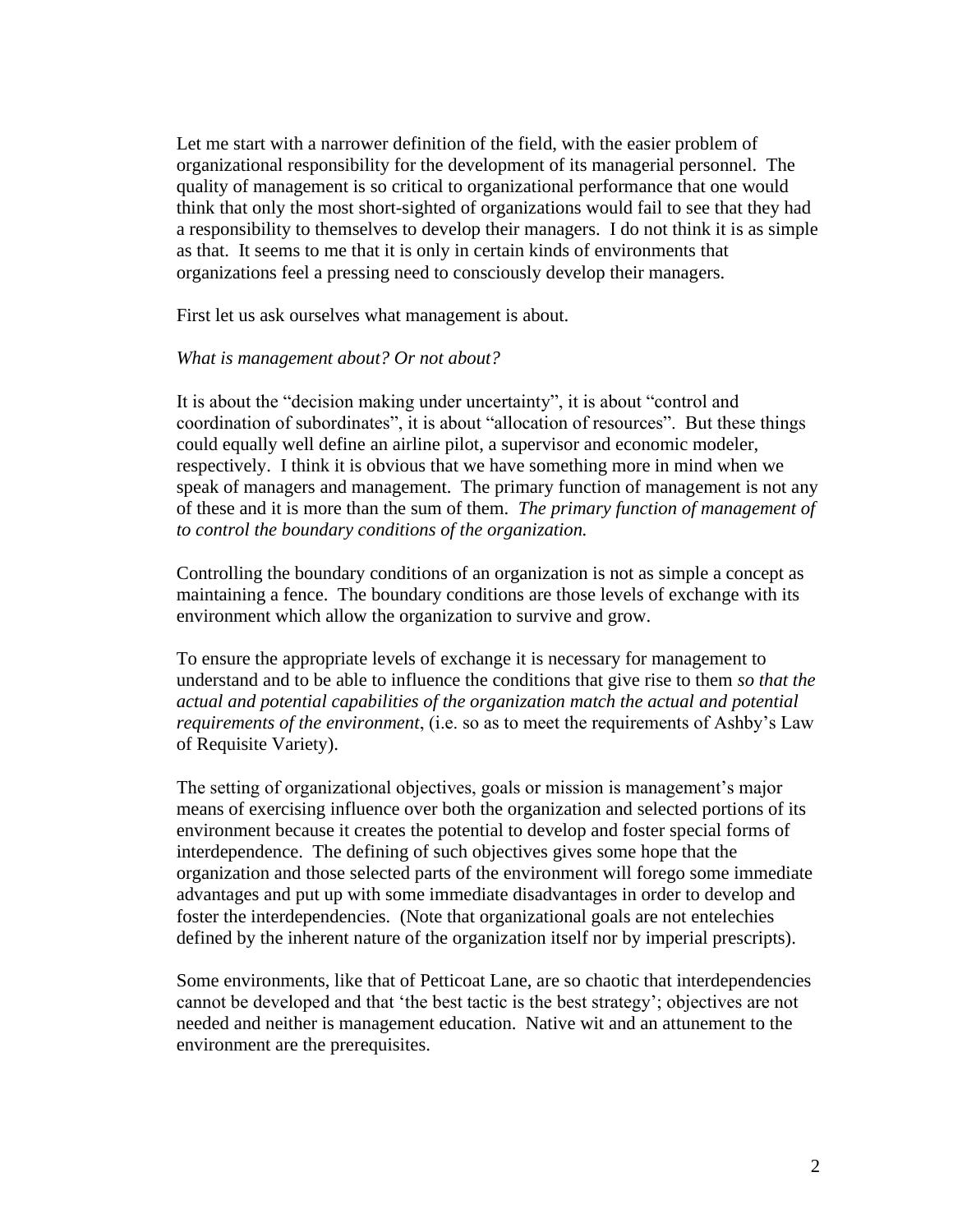Let me start with a narrower definition of the field, with the easier problem of organizational responsibility for the development of its managerial personnel. The quality of management is so critical to organizational performance that one would think that only the most short-sighted of organizations would fail to see that they had a responsibility to themselves to develop their managers. I do not think it is as simple as that. It seems to me that it is only in certain kinds of environments that organizations feel a pressing need to consciously develop their managers.

First let us ask ourselves what management is about.

## *What is management about? Or not about?*

It is about the "decision making under uncertainty", it is about "control and coordination of subordinates", it is about "allocation of resources". But these things could equally well define an airline pilot, a supervisor and economic modeler, respectively. I think it is obvious that we have something more in mind when we speak of managers and management. The primary function of management is not any of these and it is more than the sum of them. *The primary function of management of to control the boundary conditions of the organization.*

Controlling the boundary conditions of an organization is not as simple a concept as maintaining a fence. The boundary conditions are those levels of exchange with its environment which allow the organization to survive and grow.

To ensure the appropriate levels of exchange it is necessary for management to understand and to be able to influence the conditions that give rise to them *so that the actual and potential capabilities of the organization match the actual and potential requirements of the environment*, (i.e. so as to meet the requirements of Ashby's Law of Requisite Variety).

The setting of organizational objectives, goals or mission is management's major means of exercising influence over both the organization and selected portions of its environment because it creates the potential to develop and foster special forms of interdependence. The defining of such objectives gives some hope that the organization and those selected parts of the environment will forego some immediate advantages and put up with some immediate disadvantages in order to develop and foster the interdependencies. (Note that organizational goals are not entelechies defined by the inherent nature of the organization itself nor by imperial prescripts).

Some environments, like that of Petticoat Lane, are so chaotic that interdependencies cannot be developed and that 'the best tactic is the best strategy'; objectives are not needed and neither is management education. Native wit and an attunement to the environment are the prerequisites.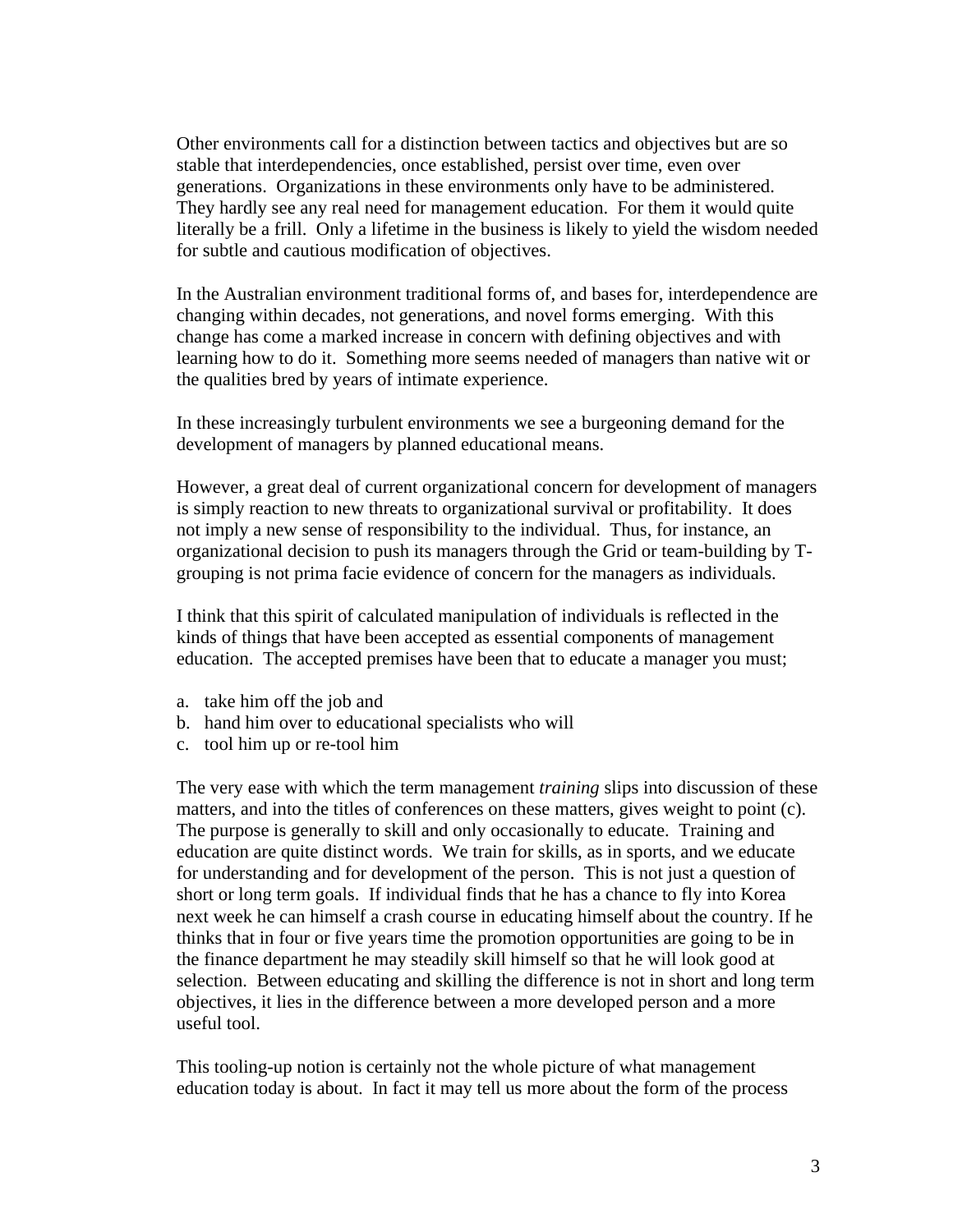Other environments call for a distinction between tactics and objectives but are so stable that interdependencies, once established, persist over time, even over generations. Organizations in these environments only have to be administered. They hardly see any real need for management education. For them it would quite literally be a frill. Only a lifetime in the business is likely to yield the wisdom needed for subtle and cautious modification of objectives.

In the Australian environment traditional forms of, and bases for, interdependence are changing within decades, not generations, and novel forms emerging. With this change has come a marked increase in concern with defining objectives and with learning how to do it. Something more seems needed of managers than native wit or the qualities bred by years of intimate experience.

In these increasingly turbulent environments we see a burgeoning demand for the development of managers by planned educational means.

However, a great deal of current organizational concern for development of managers is simply reaction to new threats to organizational survival or profitability. It does not imply a new sense of responsibility to the individual. Thus, for instance, an organizational decision to push its managers through the Grid or team-building by Tgrouping is not prima facie evidence of concern for the managers as individuals.

I think that this spirit of calculated manipulation of individuals is reflected in the kinds of things that have been accepted as essential components of management education. The accepted premises have been that to educate a manager you must;

- a. take him off the job and
- b. hand him over to educational specialists who will
- c. tool him up or re-tool him

The very ease with which the term management *training* slips into discussion of these matters, and into the titles of conferences on these matters, gives weight to point (c). The purpose is generally to skill and only occasionally to educate. Training and education are quite distinct words. We train for skills, as in sports, and we educate for understanding and for development of the person. This is not just a question of short or long term goals. If individual finds that he has a chance to fly into Korea next week he can himself a crash course in educating himself about the country. If he thinks that in four or five years time the promotion opportunities are going to be in the finance department he may steadily skill himself so that he will look good at selection. Between educating and skilling the difference is not in short and long term objectives, it lies in the difference between a more developed person and a more useful tool.

This tooling-up notion is certainly not the whole picture of what management education today is about. In fact it may tell us more about the form of the process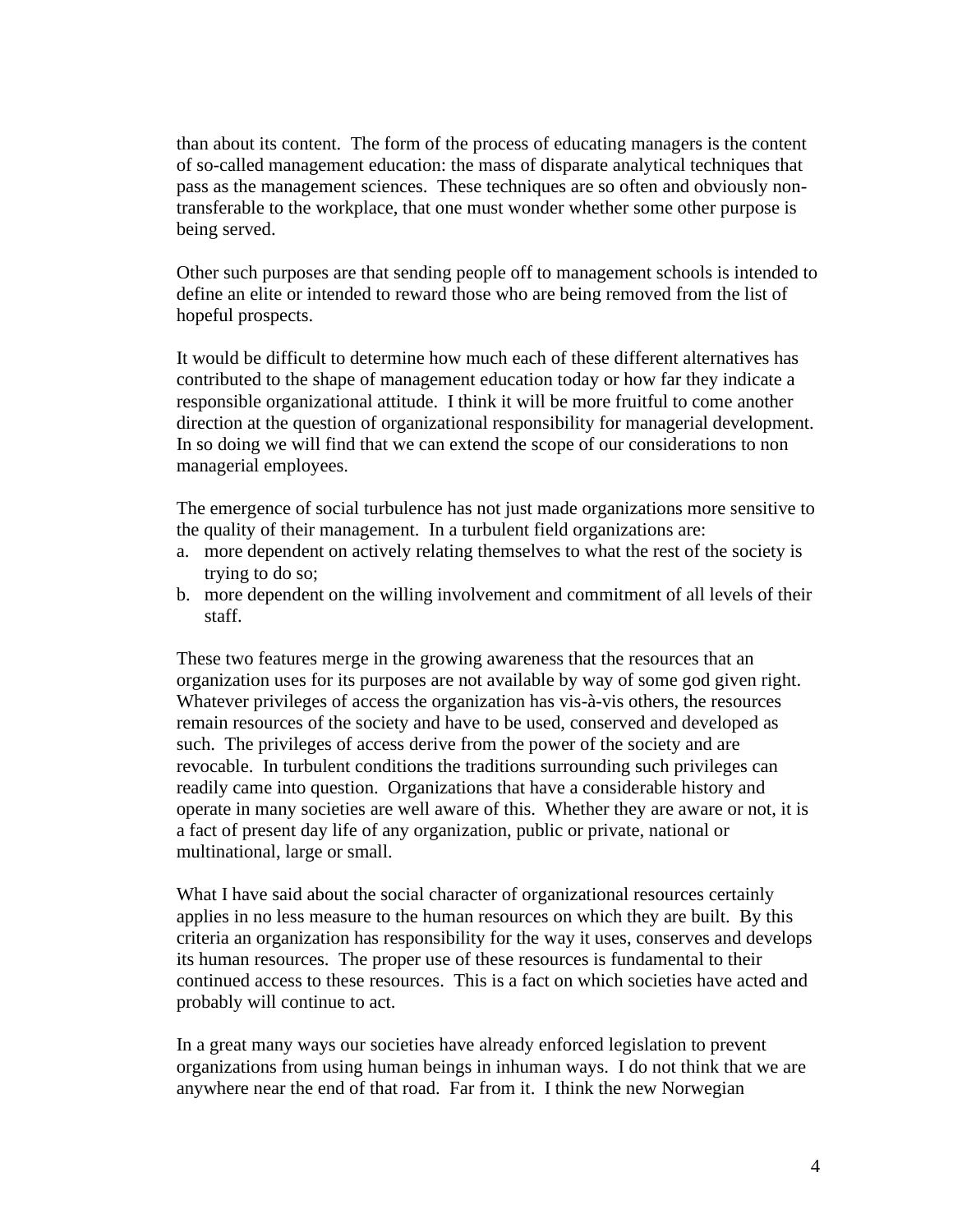than about its content. The form of the process of educating managers is the content of so-called management education: the mass of disparate analytical techniques that pass as the management sciences. These techniques are so often and obviously nontransferable to the workplace, that one must wonder whether some other purpose is being served.

Other such purposes are that sending people off to management schools is intended to define an elite or intended to reward those who are being removed from the list of hopeful prospects.

It would be difficult to determine how much each of these different alternatives has contributed to the shape of management education today or how far they indicate a responsible organizational attitude. I think it will be more fruitful to come another direction at the question of organizational responsibility for managerial development. In so doing we will find that we can extend the scope of our considerations to non managerial employees.

The emergence of social turbulence has not just made organizations more sensitive to the quality of their management. In a turbulent field organizations are:

- a. more dependent on actively relating themselves to what the rest of the society is trying to do so;
- b. more dependent on the willing involvement and commitment of all levels of their staff.

These two features merge in the growing awareness that the resources that an organization uses for its purposes are not available by way of some god given right. Whatever privileges of access the organization has vis-à-vis others, the resources remain resources of the society and have to be used, conserved and developed as such. The privileges of access derive from the power of the society and are revocable. In turbulent conditions the traditions surrounding such privileges can readily came into question. Organizations that have a considerable history and operate in many societies are well aware of this. Whether they are aware or not, it is a fact of present day life of any organization, public or private, national or multinational, large or small.

What I have said about the social character of organizational resources certainly applies in no less measure to the human resources on which they are built. By this criteria an organization has responsibility for the way it uses, conserves and develops its human resources. The proper use of these resources is fundamental to their continued access to these resources. This is a fact on which societies have acted and probably will continue to act.

In a great many ways our societies have already enforced legislation to prevent organizations from using human beings in inhuman ways. I do not think that we are anywhere near the end of that road. Far from it. I think the new Norwegian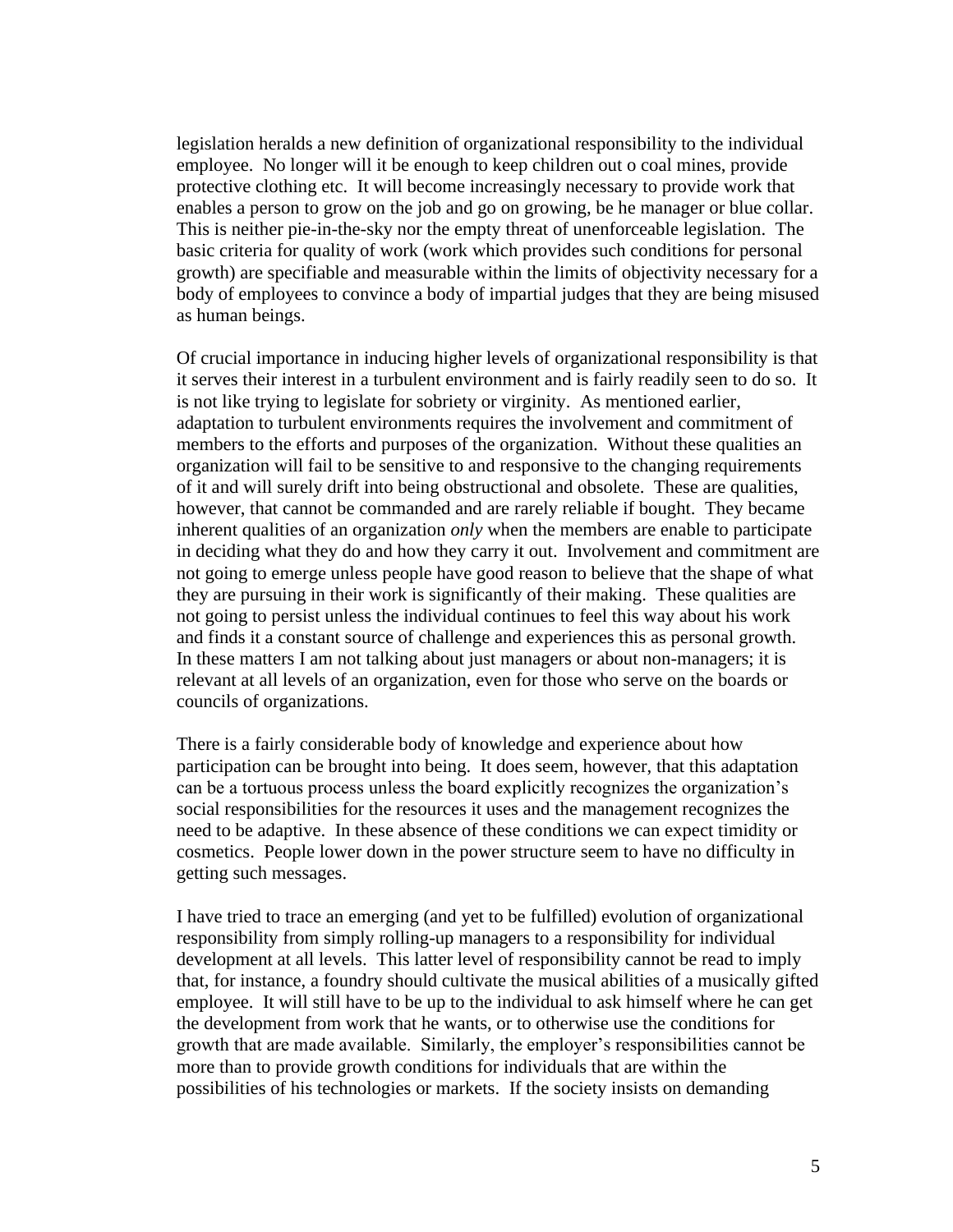legislation heralds a new definition of organizational responsibility to the individual employee. No longer will it be enough to keep children out o coal mines, provide protective clothing etc. It will become increasingly necessary to provide work that enables a person to grow on the job and go on growing, be he manager or blue collar. This is neither pie-in-the-sky nor the empty threat of unenforceable legislation. The basic criteria for quality of work (work which provides such conditions for personal growth) are specifiable and measurable within the limits of objectivity necessary for a body of employees to convince a body of impartial judges that they are being misused as human beings.

Of crucial importance in inducing higher levels of organizational responsibility is that it serves their interest in a turbulent environment and is fairly readily seen to do so. It is not like trying to legislate for sobriety or virginity. As mentioned earlier, adaptation to turbulent environments requires the involvement and commitment of members to the efforts and purposes of the organization. Without these qualities an organization will fail to be sensitive to and responsive to the changing requirements of it and will surely drift into being obstructional and obsolete. These are qualities, however, that cannot be commanded and are rarely reliable if bought. They became inherent qualities of an organization *only* when the members are enable to participate in deciding what they do and how they carry it out. Involvement and commitment are not going to emerge unless people have good reason to believe that the shape of what they are pursuing in their work is significantly of their making. These qualities are not going to persist unless the individual continues to feel this way about his work and finds it a constant source of challenge and experiences this as personal growth. In these matters I am not talking about just managers or about non-managers; it is relevant at all levels of an organization, even for those who serve on the boards or councils of organizations.

There is a fairly considerable body of knowledge and experience about how participation can be brought into being. It does seem, however, that this adaptation can be a tortuous process unless the board explicitly recognizes the organization's social responsibilities for the resources it uses and the management recognizes the need to be adaptive. In these absence of these conditions we can expect timidity or cosmetics. People lower down in the power structure seem to have no difficulty in getting such messages.

I have tried to trace an emerging (and yet to be fulfilled) evolution of organizational responsibility from simply rolling-up managers to a responsibility for individual development at all levels. This latter level of responsibility cannot be read to imply that, for instance, a foundry should cultivate the musical abilities of a musically gifted employee. It will still have to be up to the individual to ask himself where he can get the development from work that he wants, or to otherwise use the conditions for growth that are made available. Similarly, the employer's responsibilities cannot be more than to provide growth conditions for individuals that are within the possibilities of his technologies or markets. If the society insists on demanding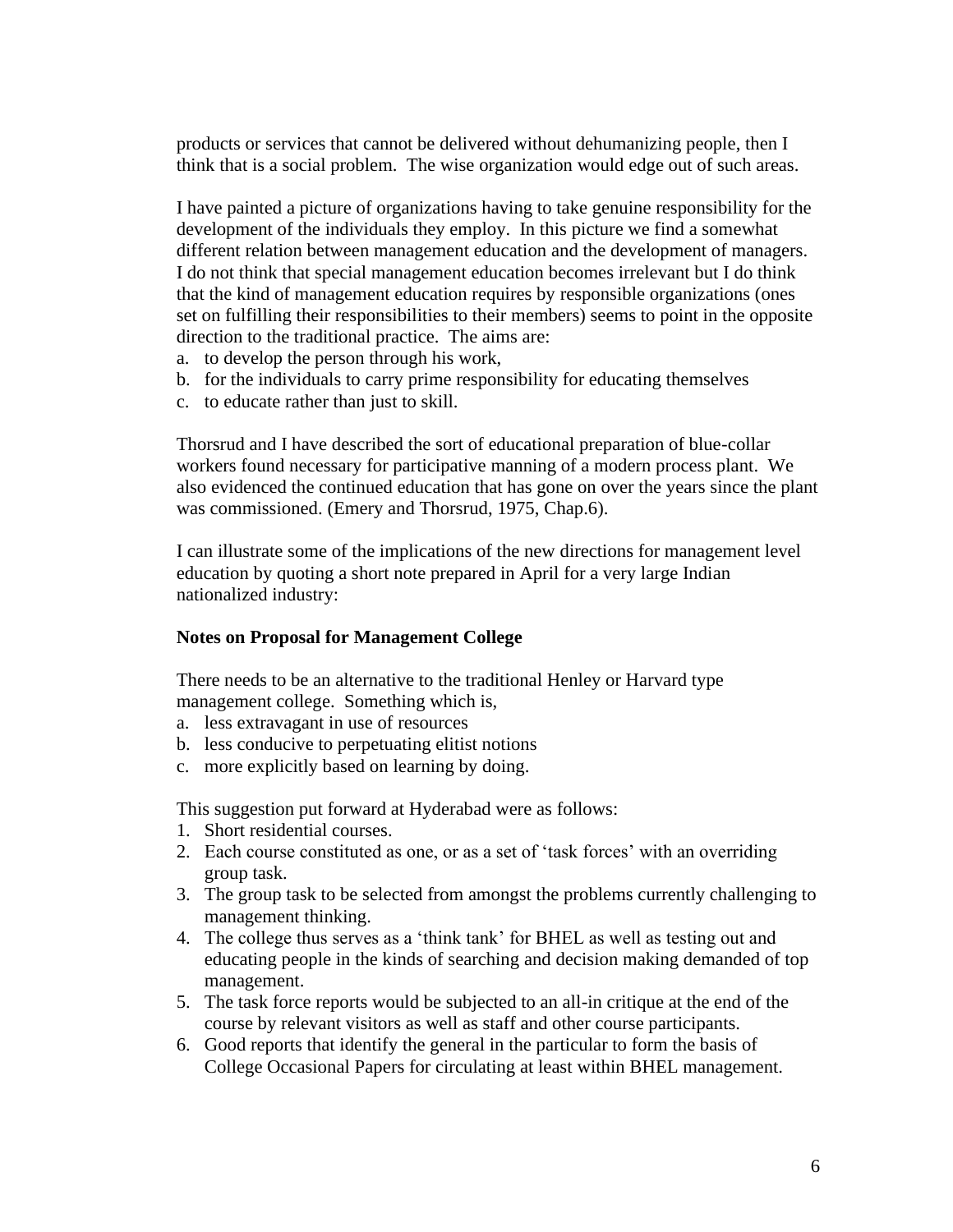products or services that cannot be delivered without dehumanizing people, then I think that is a social problem. The wise organization would edge out of such areas.

I have painted a picture of organizations having to take genuine responsibility for the development of the individuals they employ. In this picture we find a somewhat different relation between management education and the development of managers. I do not think that special management education becomes irrelevant but I do think that the kind of management education requires by responsible organizations (ones set on fulfilling their responsibilities to their members) seems to point in the opposite direction to the traditional practice. The aims are:

- a. to develop the person through his work,
- b. for the individuals to carry prime responsibility for educating themselves
- c. to educate rather than just to skill.

Thorsrud and I have described the sort of educational preparation of blue-collar workers found necessary for participative manning of a modern process plant. We also evidenced the continued education that has gone on over the years since the plant was commissioned. (Emery and Thorsrud, 1975, Chap.6).

I can illustrate some of the implications of the new directions for management level education by quoting a short note prepared in April for a very large Indian nationalized industry:

## **Notes on Proposal for Management College**

There needs to be an alternative to the traditional Henley or Harvard type management college. Something which is,

- a. less extravagant in use of resources
- b. less conducive to perpetuating elitist notions
- c. more explicitly based on learning by doing.

This suggestion put forward at Hyderabad were as follows:

- 1. Short residential courses.
- 2. Each course constituted as one, or as a set of 'task forces' with an overriding group task.
- 3. The group task to be selected from amongst the problems currently challenging to management thinking.
- 4. The college thus serves as a 'think tank' for BHEL as well as testing out and educating people in the kinds of searching and decision making demanded of top management.
- 5. The task force reports would be subjected to an all-in critique at the end of the course by relevant visitors as well as staff and other course participants.
- 6. Good reports that identify the general in the particular to form the basis of College Occasional Papers for circulating at least within BHEL management.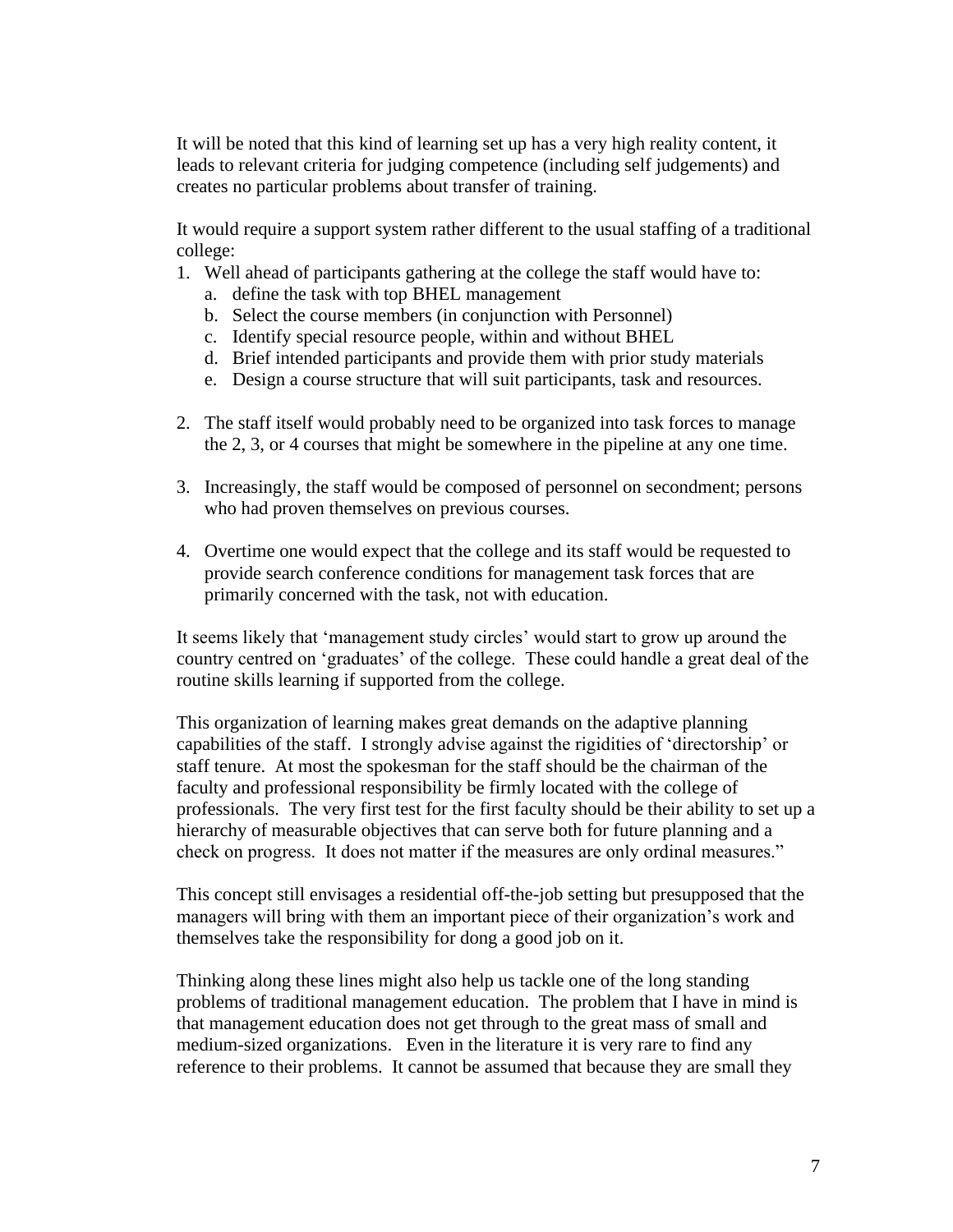It will be noted that this kind of learning set up has a very high reality content, it leads to relevant criteria for judging competence (including self judgements) and creates no particular problems about transfer of training.

It would require a support system rather different to the usual staffing of a traditional college:

- 1. Well ahead of participants gathering at the college the staff would have to:
	- a. define the task with top BHEL management
	- b. Select the course members (in conjunction with Personnel)
	- c. Identify special resource people, within and without BHEL
	- d. Brief intended participants and provide them with prior study materials
	- e. Design a course structure that will suit participants, task and resources.
- 2. The staff itself would probably need to be organized into task forces to manage the 2, 3, or 4 courses that might be somewhere in the pipeline at any one time.
- 3. Increasingly, the staff would be composed of personnel on secondment; persons who had proven themselves on previous courses.
- 4. Overtime one would expect that the college and its staff would be requested to provide search conference conditions for management task forces that are primarily concerned with the task, not with education.

It seems likely that 'management study circles' would start to grow up around the country centred on 'graduates' of the college. These could handle a great deal of the routine skills learning if supported from the college.

This organization of learning makes great demands on the adaptive planning capabilities of the staff. I strongly advise against the rigidities of 'directorship' or staff tenure. At most the spokesman for the staff should be the chairman of the faculty and professional responsibility be firmly located with the college of professionals. The very first test for the first faculty should be their ability to set up a hierarchy of measurable objectives that can serve both for future planning and a check on progress. It does not matter if the measures are only ordinal measures."

This concept still envisages a residential off-the-job setting but presupposed that the managers will bring with them an important piece of their organization's work and themselves take the responsibility for dong a good job on it.

Thinking along these lines might also help us tackle one of the long standing problems of traditional management education. The problem that I have in mind is that management education does not get through to the great mass of small and medium-sized organizations. Even in the literature it is very rare to find any reference to their problems. It cannot be assumed that because they are small they